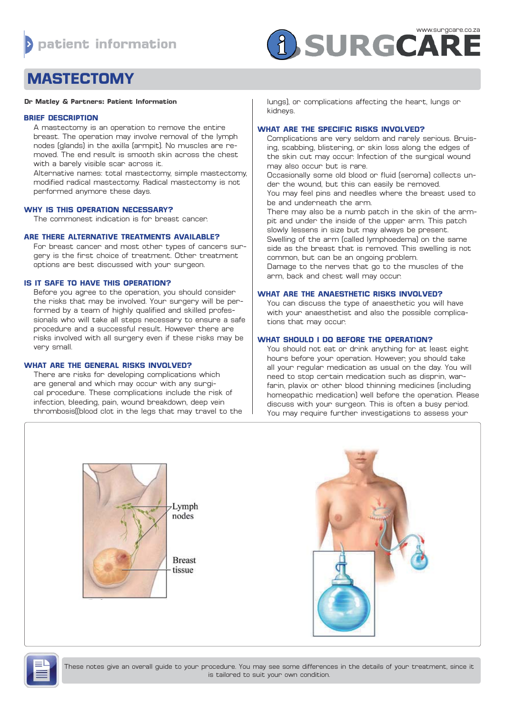

# **MASTECTOMY**

## **Dr Matley & Partners: Patient Information**

### **BRIEF DESCRIPTION**

A mastectomy is an operation to remove the entire breast. The operation may involve removal of the lymph nodes (glands) in the axilla (armpit). No muscles are removed. The end result is smooth skin across the chest with a barely visible scar across it.

Alternative names: total mastectomy, simple mastectomy, modified radical mastectomy. Radical mastectomy is not performed anymore these days.

#### **WHY IS THIS OPERATION NECESSARY?**

The commonest indication is for breast cancer.

# **ARE THERE ALTERNATIVE TREATMENTS AVAILABLE?**

For breast cancer and most other types of cancers surgery is the first choice of treatment. Other treatment options are best discussed with your surgeon.

#### **IS IT SAFE TO HAVE THIS OPERATION?**

Before you agree to the operation, you should consider the risks that may be involved. Your surgery will be performed by a team of highly qualified and skilled professionals who will take all steps necessary to ensure a safe procedure and a successful result. However there are risks involved with all surgery even if these risks may be very small.

## **WHAT ARE THE GENERAL RISKS INVOLVED?**

There are risks for developing complications which are general and which may occur with any surgical procedure. These complications include the risk of infection, bleeding, pain, wound breakdown, deep vein thrombosis((blood clot in the legs that may travel to the lungs), or complications affecting the heart, lungs or kidneys.

#### **WHAT ARE THE SPECIFIC RISKS INVOLVED?**

Complications are very seldom and rarely serious. Bruising, scabbing, blistering, or skin loss along the edges of the skin cut may occur. Infection of the surgical wound may also occur but is rare.

Occasionally some old blood or fluid (seroma) collects under the wound, but this can easily be removed. You may feel pins and needles where the breast used to

be and underneath the arm.

There may also be a numb patch in the skin of the armpit and under the inside of the upper arm. This patch slowly lessens in size but may always be present. Swelling of the arm (called lymphoedema) on the same side as the breast that is removed. This swelling is not common, but can be an ongoing problem. Damage to the nerves that go to the muscles of the arm, back and chest wall may occur.

## **WHAT ARE THE ANAESTHETIC RISKS INVOLVED?**

You can discuss the type of anaesthetic you will have with your anaesthetist and also the possible complications that may occur.

## **WHAT SHOULD I DO BEFORE THE OPERATION?**

You should not eat or drink anything for at least eight hours before your operation. However, you should take all your regular medication as usual on the day. You will need to stop certain medication such as disprin, warfarin, plavix or other blood thinning medicines (including homeopathic medication) well before the operation. Please discuss with your surgeon. This is often a busy period. You may require further investigations to assess your







These notes give an overall guide to your procedure. You may see some differences in the details of your treatment, since it is tailored to suit your own condition.